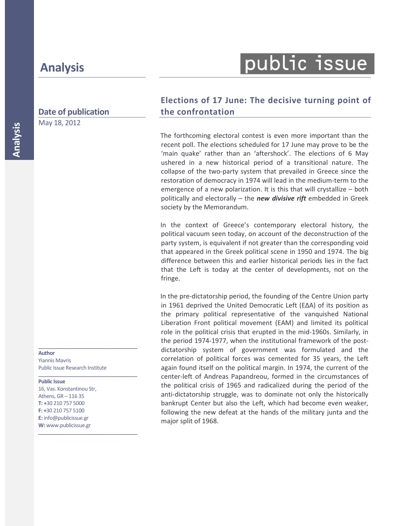# public issue

## **Date of publication**

May 18, 2012

**Elections of 17 June: The decisive turning point of the confrontation**

The forthcoming electoral contest is even more important than the recent poll. The elections scheduled for 17 June may prove to be the 'main quake' rather than an 'aftershock'. The elections of 6 May ushered in a new historical period of a transitional nature. The collapse of the two-party system that prevailed in Greece since the restoration of democracy in 1974 will lead in the medium-term to the emergence of a new polarization. It is this that will crystallize – both politically and electorally – the *new divisive rift* embedded in Greek society by the Memorandum.

In the context of Greece's contemporary electoral history, the political vacuum seen today, on account of the deconstruction of the party system, is equivalent if not greater than the corresponding void that appeared in the Greek political scene in 1950 and 1974. The big difference between this and earlier historical periods lies in the fact that the Left is today at the center of developments, not on the fringe.

In the pre-dictatorship period, the founding of the Centre Union party in 1961 deprived the United Democratic Left (ΕΔΑ) of its position as the primary political representative of the vanquished National Liberation Front political movement (ΕΑΜ) and limited its political role in the political crisis that erupted in the mid-1960s. Similarly, in the period 1974-1977, when the institutional framework of the postdictatorship system of government was formulated and the correlation of political forces was cemented for 35 years, the Left again found itself on the political margin. In 1974, the current of the center-left of Andreas Papandreou, formed in the circumstances of the political crisis of 1965 and radicalized during the period of the anti-dictatorship struggle, was to dominate not only the historically bankrupt Center but also the Left, which had become even weaker, following the new defeat at the hands of the military junta and the major split of 1968.

**Author** 

Yiannis Mavris Public Issue Research Institute

**\_\_\_\_\_\_\_\_\_\_\_\_\_\_\_\_\_\_\_\_\_\_\_\_\_\_\_\_\_\_\_\_\_\_\_\_\_\_\_\_** 

**\_\_\_\_\_\_\_\_\_\_\_\_\_\_\_\_\_\_\_\_\_\_\_\_\_\_\_\_\_\_\_\_\_\_\_\_\_\_\_\_** 

**\_\_\_\_\_\_\_\_\_\_\_\_\_\_\_\_\_\_\_\_\_\_\_\_\_\_\_\_\_\_\_\_\_\_\_\_\_\_\_\_** 

#### **Public Issue**

16, Vas. Konstantinou Str, Athens, GR – 116 35 **T: +**30 210 757 5000 **F: +**30 210 757 5100 **E:** info@publicissue.gr **W:** www.publicissue.gr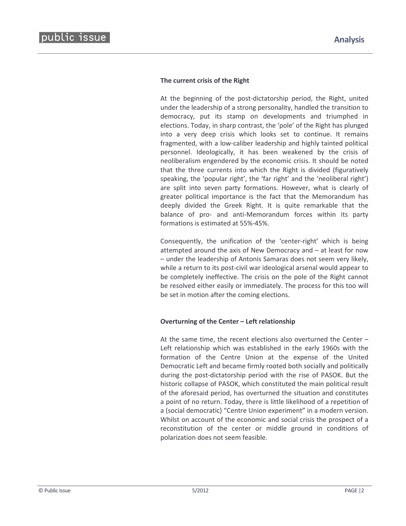#### **The current crisis of the Right**

At the beginning of the post-dictatorship period, the Right, united under the leadership of a strong personality, handled the transition to democracy, put its stamp on developments and triumphed in elections. Today, in sharp contrast, the 'pole' of the Right has plunged into a very deep crisis which looks set to continue. It remains fragmented, with a low-caliber leadership and highly tainted political personnel. Ideologically, it has been weakened by the crisis of neoliberalism engendered by the economic crisis. It should be noted that the three currents into which the Right is divided (figuratively speaking, the 'popular right', the 'far right' and the 'neoliberal right') are split into seven party formations. However, what is clearly of greater political importance is the fact that the Memorandum has deeply divided the Greek Right. It is quite remarkable that the balance of pro- and anti-Memorandum forces within its party formations is estimated at 55%-45%.

Consequently, the unification of the 'center-right' which is being attempted around the axis of New Democracy and – at least for now – under the leadership of Antonis Samaras does not seem very likely, while a return to its post-civil war ideological arsenal would appear to be completely ineffective. The crisis on the pole of the Right cannot be resolved either easily or immediately. The process for this too will be set in motion after the coming elections.

### **Overturning of the Center – Left relationship**

At the same time, the recent elections also overturned the Center – Left relationship which was established in the early 1960s with the formation of the Centre Union at the expense of the United Democratic Left and became firmly rooted both socially and politically during the post-dictatorship period with the rise of PASOK. But the historic collapse of PASOK, which constituted the main political result of the aforesaid period, has overturned the situation and constitutes a point of no return. Today, there is little likelihood of a repetition of a (social democratic) "Centre Union experiment" in a modern version. Whilst on account of the economic and social crisis the prospect of a reconstitution of the center or middle ground in conditions of polarization does not seem feasible.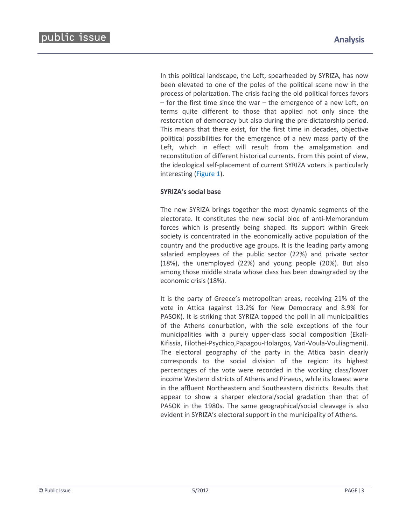In this political landscape, the Left, spearheaded by SYRIZA, has now been elevated to one of the poles of the political scene now in the process of polarization. The crisis facing the old political forces favors – for the first time since the war – the emergence of a new Left, on terms quite different to those that applied not only since the restoration of democracy but also during the pre-dictatorship period. This means that there exist, for the first time in decades, objective political possibilities for the emergence of a new mass party of the Left, which in effect will result from the amalgamation and reconstitution of different historical currents. From this point of view, the ideological self-placement of current SYRIZA voters is particularly interesting (Figure 1).

### **SYRIZA's social base**

The new SYRIZA brings together the most dynamic segments of the electorate. It constitutes the new social bloc of anti-Memorandum forces which is presently being shaped. Its support within Greek society is concentrated in the economically active population of the country and the productive age groups. It is the leading party among salaried employees of the public sector (22%) and private sector (18%), the unemployed (22%) and young people (20%). But also among those middle strata whose class has been downgraded by the economic crisis (18%).

It is the party of Greece's metropolitan areas, receiving 21% of the vote in Attica (against 13.2% for New Democracy and 8.9% for PASOK). It is striking that SYRIZA topped the poll in all municipalities of the Athens conurbation, with the sole exceptions of the four municipalities with a purely upper-class social composition (Ekali-Kifissia, Filothei-Psychico,Papagou-Holargos, Vari-Voula-Vouliagmeni). The electoral geography of the party in the Attica basin clearly corresponds to the social division of the region: its highest percentages of the vote were recorded in the working class/lower income Western districts of Athens and Piraeus, while its lowest were in the affluent Northeastern and Southeastern districts. Results that appear to show a sharper electoral/social gradation than that of PASOK in the 1980s. The same geographical/social cleavage is also evident in SYRIZA's electoral support in the municipality of Athens.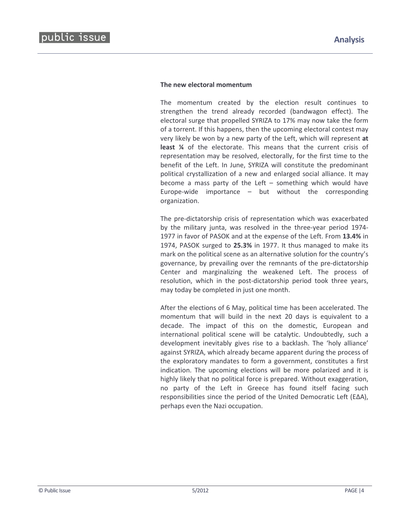#### **The new electoral momentum**

The momentum created by the election result continues to strengthen the trend already recorded (bandwagon effect). The electoral surge that propelled SYRIZA to 17% may now take the form of a torrent. If this happens, then the upcoming electoral contest may very likely be won by a new party of the Left, which will represent **at least ¼** of the electorate. This means that the current crisis of representation may be resolved, electorally, for the first time to the benefit of the Left. In June, SYRIZA will constitute the predominant political crystallization of a new and enlarged social alliance. It may become a mass party of the Left – something which would have Europe-wide importance  $-$  but without the corresponding organization.

The pre-dictatorship crisis of representation which was exacerbated by the military junta, was resolved in the three-year period 1974- 1977 in favor of PASOK and at the expense of the Left. From **13.4%** in 1974, PASOK surged to **25.3%** in 1977. It thus managed to make its mark on the political scene as an alternative solution for the country's governance, by prevailing over the remnants of the pre-dictatorship Center and marginalizing the weakened Left. The process of resolution, which in the post-dictatorship period took three years, may today be completed in just one month.

After the elections of 6 May, political time has been accelerated. The momentum that will build in the next 20 days is equivalent to a decade. The impact of this on the domestic, European and international political scene will be catalytic. Undoubtedly, such a development inevitably gives rise to a backlash. The 'holy alliance' against SYRIZA, which already became apparent during the process of the exploratory mandates to form a government, constitutes a first indication. The upcoming elections will be more polarized and it is highly likely that no political force is prepared. Without exaggeration, no party of the Left in Greece has found itself facing such responsibilities since the period of the United Democratic Left (ΕΔΑ), perhaps even the Nazi occupation.